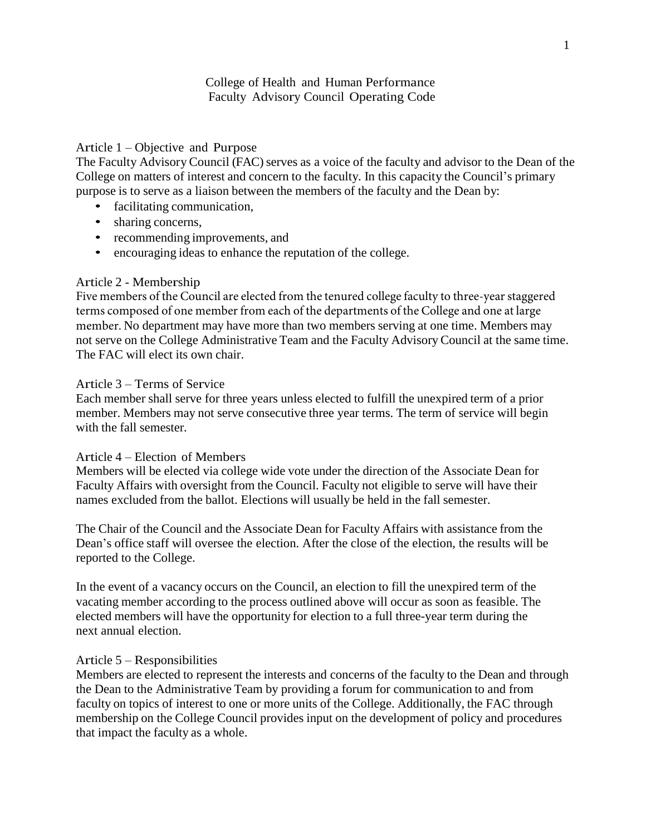# College of Health and Human Performance Faculty Advisory Council Operating Code

# Article 1 – Objective and Purpose

The Faculty Advisory Council (FAC) serves as a voice of the faculty and advisor to the Dean of the College on matters of interest and concern to the faculty. In this capacity the Council's primary purpose is to serve as a liaison between the members of the faculty and the Dean by:

- facilitating communication,
- sharing concerns,
- recommending improvements, and
- encouraging ideas to enhance the reputation of the college.

#### Article 2 - Membership

Five members of the Council are elected from the tenured college faculty to three-year staggered terms composed of one member from each of the departments of the College and one at large member. No department may have more than two members serving at one time. Members may not serve on the College Administrative Team and the Faculty Advisory Council at the same time. The FAC will elect its own chair.

#### Article 3 – Terms of Service

Each member shall serve for three years unless elected to fulfill the unexpired term of a prior member. Members may not serve consecutive three year terms. The term of service will begin with the fall semester.

#### Article 4 – Election of Members

Members will be elected via college wide vote under the direction of the Associate Dean for Faculty Affairs with oversight from the Council. Faculty not eligible to serve will have their names excluded from the ballot. Elections will usually be held in the fall semester.

The Chair of the Council and the Associate Dean for Faculty Affairs with assistance from the Dean's office staff will oversee the election. After the close of the election, the results will be reported to the College.

In the event of a vacancy occurs on the Council, an election to fill the unexpired term of the vacating member according to the process outlined above will occur as soon as feasible. The elected members will have the opportunity for election to a full three-year term during the next annual election.

#### Article 5 – Responsibilities

Members are elected to represent the interests and concerns of the faculty to the Dean and through the Dean to the Administrative Team by providing a forum for communication to and from faculty on topics of interest to one or more units of the College. Additionally, the FAC through membership on the College Council provides input on the development of policy and procedures that impact the faculty as a whole.